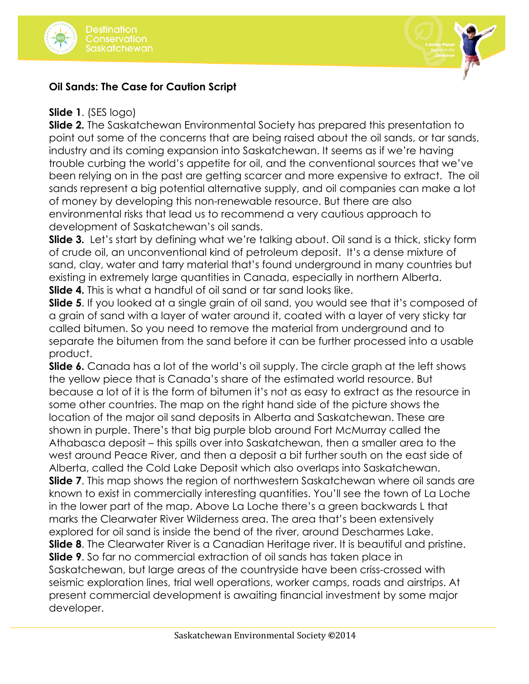



## **Oil Sands: The Case for Caution Script**

## **Slide 1**. (SES logo)

**Slide 2.** The Saskatchewan Environmental Society has prepared this presentation to point out some of the concerns that are being raised about the oil sands, or tar sands, industry and its coming expansion into Saskatchewan. It seems as if we're having trouble curbing the world's appetite for oil, and the conventional sources that we've been relying on in the past are getting scarcer and more expensive to extract. The oil sands represent a big potential alternative supply, and oil companies can make a lot of money by developing this non-renewable resource. But there are also environmental risks that lead us to recommend a very cautious approach to development of Saskatchewan's oil sands.

**Slide 3.** Let's start by defining what we're talking about. Oil sand is a thick, sticky form of crude oil, an unconventional kind of petroleum deposit. It's a dense mixture of sand, clay, water and tarry material that's found underground in many countries but existing in extremely large quantities in Canada, especially in northern Alberta. **Slide 4.** This is what a handful of oil sand or tar sand looks like.

**Slide 5**. If you looked at a single grain of oil sand, you would see that it's composed of a grain of sand with a layer of water around it, coated with a layer of very sticky tar called bitumen. So you need to remove the material from underground and to separate the bitumen from the sand before it can be further processed into a usable product.

**Slide 6.** Canada has a lot of the world's oil supply. The circle graph at the left shows the yellow piece that is Canada's share of the estimated world resource. But because a lot of it is the form of bitumen it's not as easy to extract as the resource in some other countries. The map on the right hand side of the picture shows the location of the major oil sand deposits in Alberta and Saskatchewan. These are shown in purple. There's that big purple blob around Fort McMurray called the Athabasca deposit – this spills over into Saskatchewan, then a smaller area to the west around Peace River, and then a deposit a bit further south on the east side of Alberta, called the Cold Lake Deposit which also overlaps into Saskatchewan. **Slide 7**. This map shows the region of northwestern Saskatchewan where oil sands are known to exist in commercially interesting quantities. You'll see the town of La Loche in the lower part of the map. Above La Loche there's a green backwards L that marks the Clearwater River Wilderness area. The area that's been extensively explored for oil sand is inside the bend of the river, around Descharmes Lake. **Slide 8**. The Clearwater River is a Canadian Heritage river. It is beautiful and pristine. **Slide 9**. So far no commercial extraction of oil sands has taken place in Saskatchewan, but large areas of the countryside have been criss-crossed with seismic exploration lines, trial well operations, worker camps, roads and airstrips. At present commercial development is awaiting financial investment by some major developer.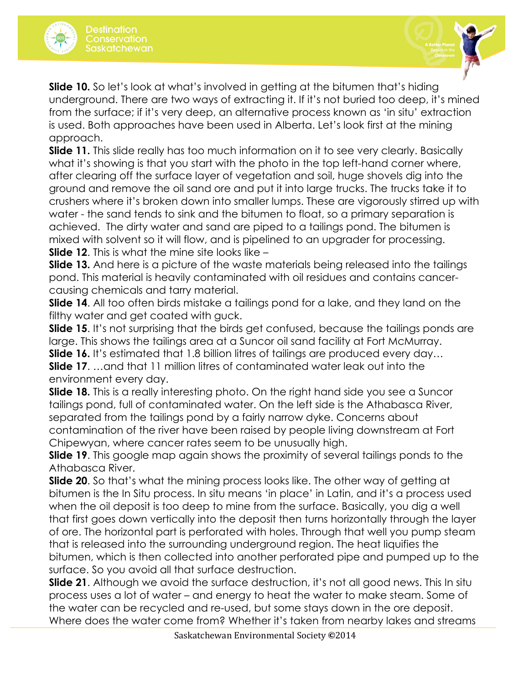



**Slide 10.** So let's look at what's involved in getting at the bitumen that's hiding underground. There are two ways of extracting it. If it's not buried too deep, it's mined from the surface; if it's very deep, an alternative process known as 'in situ' extraction is used. Both approaches have been used in Alberta. Let's look first at the mining approach.

**Slide 11.** This slide really has too much information on it to see very clearly. Basically what it's showing is that you start with the photo in the top left-hand corner where, after clearing off the surface layer of vegetation and soil, huge shovels dig into the ground and remove the oil sand ore and put it into large trucks. The trucks take it to crushers where it's broken down into smaller lumps. These are vigorously stirred up with water - the sand tends to sink and the bitumen to float, so a primary separation is achieved. The dirty water and sand are piped to a tailings pond. The bitumen is mixed with solvent so it will flow, and is pipelined to an upgrader for processing. **Slide 12**. This is what the mine site looks like –

**Slide 13.** And here is a picture of the waste materials being released into the tailings pond. This material is heavily contaminated with oil residues and contains cancercausing chemicals and tarry material.

**Slide 14**. All too often birds mistake a tailings pond for a lake, and they land on the filthy water and get coated with guck.

**Slide 15.** It's not surprising that the birds get confused, because the tailings ponds are large. This shows the tailings area at a Suncor oil sand facility at Fort McMurray.

**Slide 16.** It's estimated that 1.8 billion litres of tailings are produced every day… **Slide 17**. …and that 11 million litres of contaminated water leak out into the environment every day.

**Slide 18.** This is a really interesting photo. On the right hand side you see a Suncor tailings pond, full of contaminated water. On the left side is the Athabasca River, separated from the tailings pond by a fairly narrow dyke. Concerns about contamination of the river have been raised by people living downstream at Fort Chipewyan, where cancer rates seem to be unusually high.

**Slide 19.** This google map again shows the proximity of several tailings ponds to the Athabasca River.

**Slide 20**. So that's what the mining process looks like. The other way of getting at bitumen is the In Situ process. In situ means 'in place' in Latin, and it's a process used when the oil deposit is too deep to mine from the surface. Basically, you dig a well that first goes down vertically into the deposit then turns horizontally through the layer of ore. The horizontal part is perforated with holes. Through that well you pump steam that is released into the surrounding underground region. The heat liquifies the bitumen, which is then collected into another perforated pipe and pumped up to the surface. So you avoid all that surface destruction.

**Slide 21**. Although we avoid the surface destruction, it's not all good news. This In situ process uses a lot of water – and energy to heat the water to make steam. Some of the water can be recycled and re-used, but some stays down in the ore deposit. Where does the water come from? Whether it's taken from nearby lakes and streams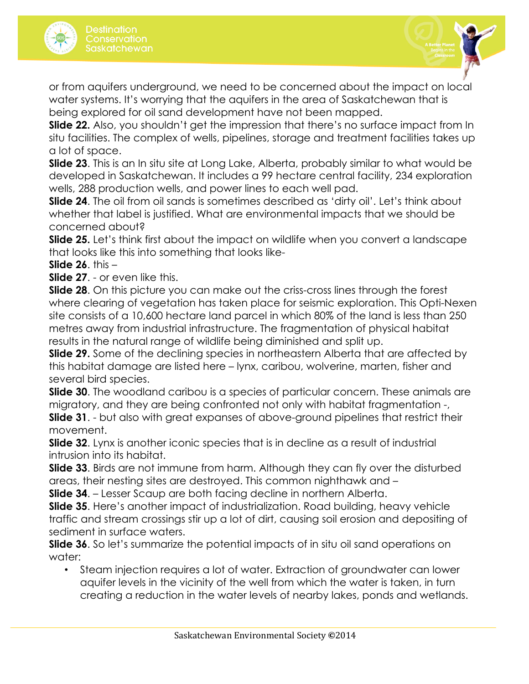



or from aquifers underground, we need to be concerned about the impact on local water systems. It's worrying that the aquifers in the area of Saskatchewan that is being explored for oil sand development have not been mapped.

**Slide 22.** Also, you shouldn't get the impression that there's no surface impact from In situ facilities. The complex of wells, pipelines, storage and treatment facilities takes up a lot of space.

**Slide 23**. This is an In situ site at Long Lake, Alberta, probably similar to what would be developed in Saskatchewan. It includes a 99 hectare central facility, 234 exploration wells, 288 production wells, and power lines to each well pad.

**Slide 24**. The oil from oil sands is sometimes described as 'dirty oil'. Let's think about whether that label is justified. What are environmental impacts that we should be concerned about?

**Slide 25.** Let's think first about the impact on wildlife when you convert a landscape that looks like this into something that looks like-

**Slide 26**. this –

**Slide 27**. - or even like this.

**Slide 28**. On this picture you can make out the criss-cross lines through the forest where clearing of vegetation has taken place for seismic exploration. This Opti-Nexen site consists of a 10,600 hectare land parcel in which 80% of the land is less than 250 metres away from industrial infrastructure. The fragmentation of physical habitat results in the natural range of wildlife being diminished and split up.

**Slide 29.** Some of the declining species in northeastern Alberta that are affected by this habitat damage are listed here – lynx, caribou, wolverine, marten, fisher and several bird species.

**Slide 30**. The woodland caribou is a species of particular concern. These animals are migratory, and they are being confronted not only with habitat fragmentation -,

**Slide 31.** - but also with great expanses of above-ground pipelines that restrict their movement.

**Slide 32**. Lynx is another iconic species that is in decline as a result of industrial intrusion into its habitat.

**Slide 33**. Birds are not immune from harm. Although they can fly over the disturbed areas, their nesting sites are destroyed. This common nighthawk and –

**Slide 34**. – Lesser Scaup are both facing decline in northern Alberta.

**Slide 35**. Here's another impact of industrialization. Road building, heavy vehicle traffic and stream crossings stir up a lot of dirt, causing soil erosion and depositing of sediment in surface waters.

**Slide 36.** So let's summarize the potential impacts of in situ oil sand operations on water:

• Steam injection requires a lot of water. Extraction of groundwater can lower aquifer levels in the vicinity of the well from which the water is taken, in turn creating a reduction in the water levels of nearby lakes, ponds and wetlands.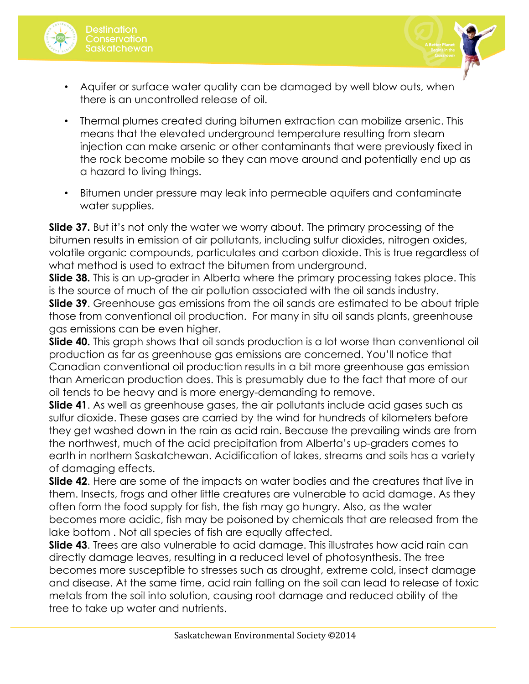

- Aquifer or surface water quality can be damaged by well blow outs, when there is an uncontrolled release of oil.
- Thermal plumes created during bitumen extraction can mobilize arsenic. This means that the elevated underground temperature resulting from steam injection can make arsenic or other contaminants that were previously fixed in the rock become mobile so they can move around and potentially end up as a hazard to living things.
- Bitumen under pressure may leak into permeable aquifers and contaminate water supplies.

**Slide 37.** But it's not only the water we worry about. The primary processing of the bitumen results in emission of air pollutants, including sulfur dioxides, nitrogen oxides, volatile organic compounds, particulates and carbon dioxide. This is true regardless of what method is used to extract the bitumen from underground.

**Slide 38.** This is an up-grader in Alberta where the primary processing takes place. This is the source of much of the air pollution associated with the oil sands industry.

**Slide 39**. Greenhouse gas emissions from the oil sands are estimated to be about triple those from conventional oil production. For many in situ oil sands plants, greenhouse gas emissions can be even higher.

**Slide 40.** This graph shows that oil sands production is a lot worse than conventional oil production as far as greenhouse gas emissions are concerned. You'll notice that Canadian conventional oil production results in a bit more greenhouse gas emission than American production does. This is presumably due to the fact that more of our oil tends to be heavy and is more energy-demanding to remove.

**Slide 41.** As well as greenhouse gases, the air pollutants include acid gases such as sulfur dioxide. These gases are carried by the wind for hundreds of kilometers before they get washed down in the rain as acid rain. Because the prevailing winds are from the northwest, much of the acid precipitation from Alberta's up-graders comes to earth in northern Saskatchewan. Acidification of lakes, streams and soils has a variety of damaging effects.

**Slide 42.** Here are some of the impacts on water bodies and the creatures that live in them. Insects, frogs and other little creatures are vulnerable to acid damage. As they often form the food supply for fish, the fish may go hungry. Also, as the water becomes more acidic, fish may be poisoned by chemicals that are released from the lake bottom . Not all species of fish are equally affected.

**Slide 43**. Trees are also vulnerable to acid damage. This illustrates how acid rain can directly damage leaves, resulting in a reduced level of photosynthesis. The tree becomes more susceptible to stresses such as drought, extreme cold, insect damage and disease. At the same time, acid rain falling on the soil can lead to release of toxic metals from the soil into solution, causing root damage and reduced ability of the tree to take up water and nutrients.